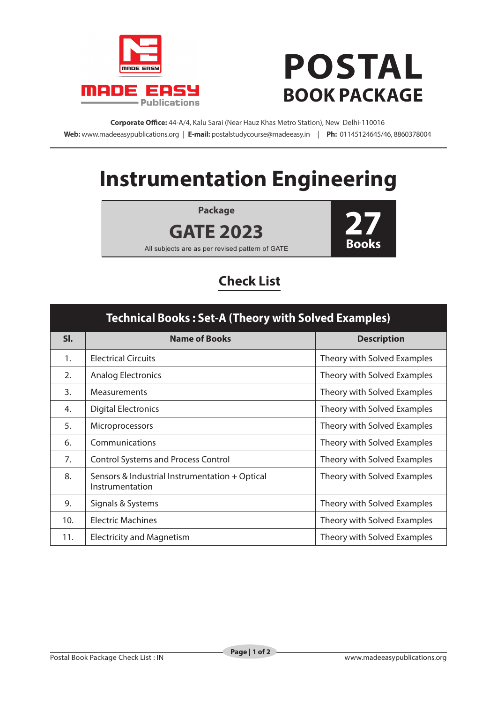



**Corporate Office:** 44-A/4, Kalu Sarai (Near Hauz Khas Metro Station), New Delhi-110016 **Web:** www.madeeasypublications.org | **E-mail:** postalstudycourse@madeeasy.in | **Ph:** 01145124645/46, 8860378004

## **Instrumentation Engineering**

**Package**



All subjects are as per revised pattern of GATE

**GATE 2023**

## **Check List**

| <b>Technical Books: Set-A (Theory with Solved Examples)</b> |                                                                   |                             |  |  |
|-------------------------------------------------------------|-------------------------------------------------------------------|-----------------------------|--|--|
| SI.                                                         | <b>Name of Books</b>                                              | <b>Description</b>          |  |  |
| 1.                                                          | <b>Electrical Circuits</b>                                        | Theory with Solved Examples |  |  |
| 2.                                                          | <b>Analog Electronics</b>                                         | Theory with Solved Examples |  |  |
| $\mathbf{3}$ .                                              | <b>Measurements</b>                                               | Theory with Solved Examples |  |  |
| 4.                                                          | <b>Digital Electronics</b>                                        | Theory with Solved Examples |  |  |
| 5.                                                          | <b>Microprocessors</b>                                            | Theory with Solved Examples |  |  |
| 6.                                                          | Communications                                                    | Theory with Solved Examples |  |  |
| 7.                                                          | <b>Control Systems and Process Control</b>                        | Theory with Solved Examples |  |  |
| 8.                                                          | Sensors & Industrial Instrumentation + Optical<br>Instrumentation | Theory with Solved Examples |  |  |
| 9.                                                          | Signals & Systems                                                 | Theory with Solved Examples |  |  |
| 10.                                                         | <b>Electric Machines</b>                                          | Theory with Solved Examples |  |  |
| 11.                                                         | <b>Electricity and Magnetism</b>                                  | Theory with Solved Examples |  |  |